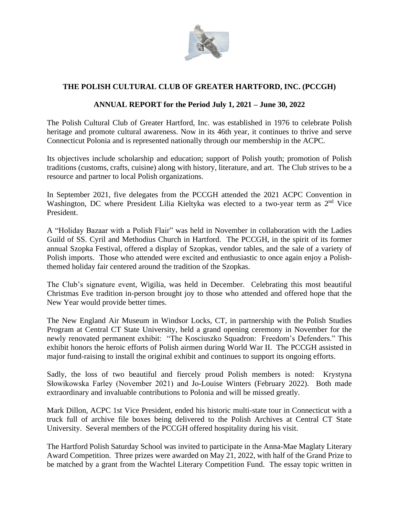

## **THE POLISH CULTURAL CLUB OF GREATER HARTFORD, INC. (PCCGH)**

## **ANNUAL REPORT for the Period July 1, 2021 – June 30, 2022**

The Polish Cultural Club of Greater Hartford, Inc. was established in 1976 to celebrate Polish heritage and promote cultural awareness. Now in its 46th year, it continues to thrive and serve Connecticut Polonia and is represented nationally through our membership in the ACPC.

Its objectives include scholarship and education; support of Polish youth; promotion of Polish traditions (customs, crafts, cuisine) along with history, literature, and art. The Club strives to be a resource and partner to local Polish organizations.

In September 2021, five delegates from the PCCGH attended the 2021 ACPC Convention in Washington, DC where President Lilia Kieltyka was elected to a two-year term as 2<sup>nd</sup> Vice President.

A "Holiday Bazaar with a Polish Flair" was held in November in collaboration with the Ladies Guild of SS. Cyril and Methodius Church in Hartford. The PCCGH, in the spirit of its former annual Szopka Festival, offered a display of Szopkas, vendor tables, and the sale of a variety of Polish imports. Those who attended were excited and enthusiastic to once again enjoy a Polishthemed holiday fair centered around the tradition of the Szopkas.

The Club's signature event, Wigilia, was held in December. Celebrating this most beautiful Christmas Eve tradition in-person brought joy to those who attended and offered hope that the New Year would provide better times.

The New England Air Museum in Windsor Locks, CT, in partnership with the Polish Studies Program at Central CT State University, held a grand opening ceremony in November for the newly renovated permanent exhibit: "The Kosciuszko Squadron: Freedom's Defenders." This exhibit honors the heroic efforts of Polish airmen during World War II. The PCCGH assisted in major fund-raising to install the original exhibit and continues to support its ongoing efforts.

Sadly, the loss of two beautiful and fiercely proud Polish members is noted: Krystyna Słowikowska Farley (November 2021) and Jo-Louise Winters (February 2022). Both made extraordinary and invaluable contributions to Polonia and will be missed greatly.

Mark Dillon, ACPC 1st Vice President, ended his historic multi-state tour in Connecticut with a truck full of archive file boxes being delivered to the Polish Archives at Central CT State University. Several members of the PCCGH offered hospitality during his visit.

The Hartford Polish Saturday School was invited to participate in the Anna-Mae Maglaty Literary Award Competition. Three prizes were awarded on May 21, 2022, with half of the Grand Prize to be matched by a grant from the Wachtel Literary Competition Fund. The essay topic written in